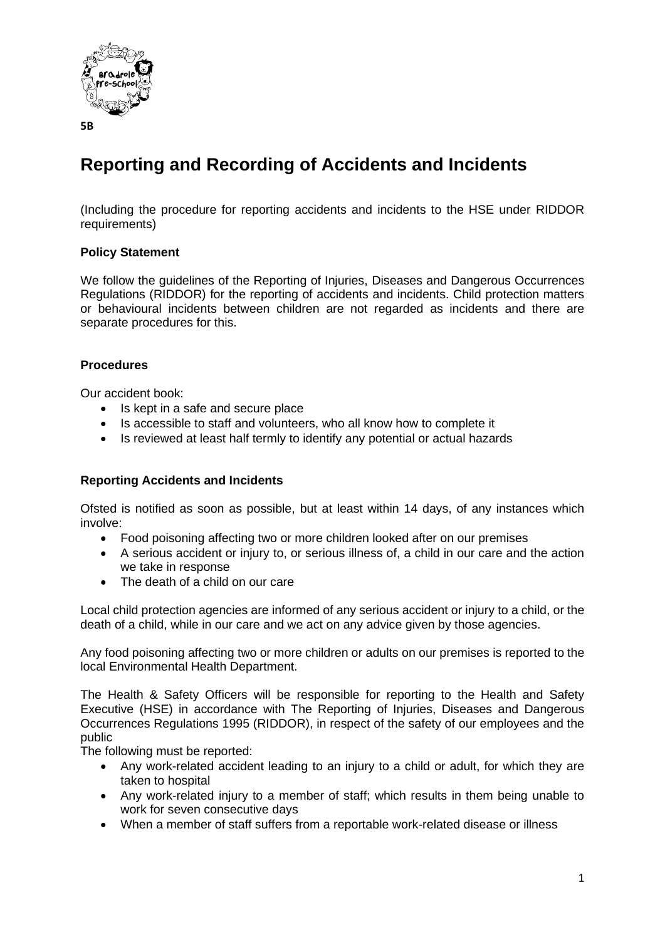

#### **5B**

# **Reporting and Recording of Accidents and Incidents**

(Including the procedure for reporting accidents and incidents to the HSE under RIDDOR requirements)

# **Policy Statement**

We follow the guidelines of the Reporting of Injuries, Diseases and Dangerous Occurrences Regulations (RIDDOR) for the reporting of accidents and incidents. Child protection matters or behavioural incidents between children are not regarded as incidents and there are separate procedures for this.

# **Procedures**

Our accident book:

- Is kept in a safe and secure place
- Is accessible to staff and volunteers, who all know how to complete it
- Is reviewed at least half termly to identify any potential or actual hazards

#### **Reporting Accidents and Incidents**

Ofsted is notified as soon as possible, but at least within 14 days, of any instances which involve:

- Food poisoning affecting two or more children looked after on our premises
- A serious accident or injury to, or serious illness of, a child in our care and the action we take in response
- The death of a child on our care

Local child protection agencies are informed of any serious accident or injury to a child, or the death of a child, while in our care and we act on any advice given by those agencies.

Any food poisoning affecting two or more children or adults on our premises is reported to the local Environmental Health Department.

The Health & Safety Officers will be responsible for reporting to the Health and Safety Executive (HSE) in accordance with The Reporting of Injuries, Diseases and Dangerous Occurrences Regulations 1995 (RIDDOR), in respect of the safety of our employees and the public

The following must be reported:

- Any work-related accident leading to an injury to a child or adult, for which they are taken to hospital
- Any work-related injury to a member of staff; which results in them being unable to work for seven consecutive days
- When a member of staff suffers from a reportable work-related disease or illness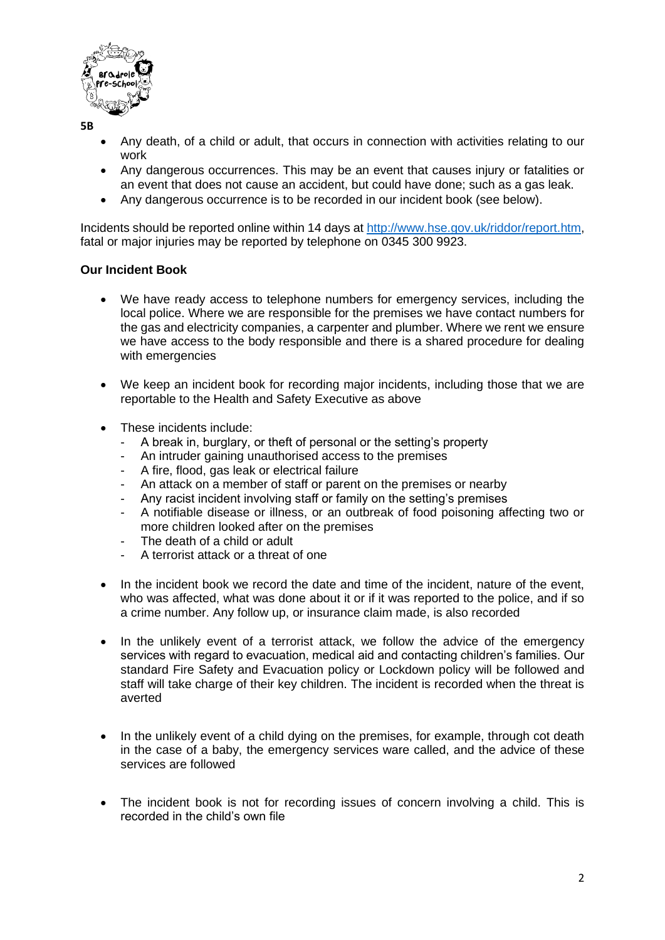

**5B**

- Any death, of a child or adult, that occurs in connection with activities relating to our work
- Any dangerous occurrences. This may be an event that causes injury or fatalities or an event that does not cause an accident, but could have done; such as a gas leak.
- Any dangerous occurrence is to be recorded in our incident book (see below).

Incidents should be reported online within 14 days at [http://www.hse.gov.uk/riddor/report.htm,](http://www.hse.gov.uk/riddor/report.htm) fatal or major injuries may be reported by telephone on 0345 300 9923.

# **Our Incident Book**

- We have ready access to telephone numbers for emergency services, including the local police. Where we are responsible for the premises we have contact numbers for the gas and electricity companies, a carpenter and plumber. Where we rent we ensure we have access to the body responsible and there is a shared procedure for dealing with emergencies
- We keep an incident book for recording major incidents, including those that we are reportable to the Health and Safety Executive as above
- These incidents include:
	- A break in, burglary, or theft of personal or the setting's property
	- An intruder gaining unauthorised access to the premises
	- A fire, flood, gas leak or electrical failure
	- An attack on a member of staff or parent on the premises or nearby
	- Any racist incident involving staff or family on the setting's premises
	- A notifiable disease or illness, or an outbreak of food poisoning affecting two or more children looked after on the premises
	- The death of a child or adult
	- A terrorist attack or a threat of one
- In the incident book we record the date and time of the incident, nature of the event, who was affected, what was done about it or if it was reported to the police, and if so a crime number. Any follow up, or insurance claim made, is also recorded
- In the unlikely event of a terrorist attack, we follow the advice of the emergency services with regard to evacuation, medical aid and contacting children's families. Our standard Fire Safety and Evacuation policy or Lockdown policy will be followed and staff will take charge of their key children. The incident is recorded when the threat is averted
- In the unlikely event of a child dying on the premises, for example, through cot death in the case of a baby, the emergency services ware called, and the advice of these services are followed
- The incident book is not for recording issues of concern involving a child. This is recorded in the child's own file